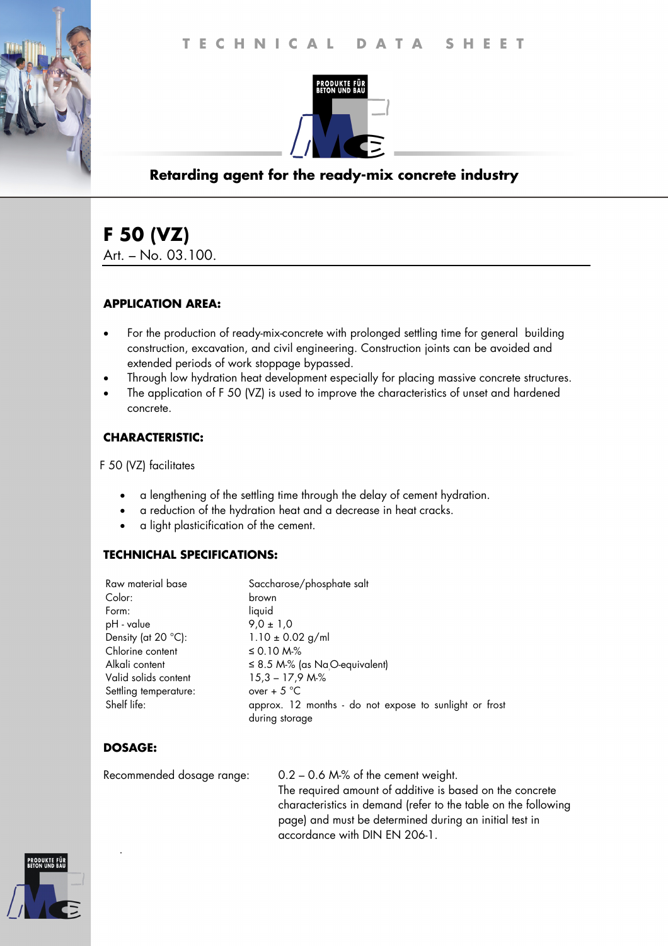

## **Retarding agent for the ready-mix concrete industry**

# **F 50 (VZ)**

Art. – No. 03.100.

#### **APPLICATION AREA:**

- For the production of ready-mix-concrete with prolonged settling time for general building construction, excavation, and civil engineering. Construction joints can be avoided and extended periods of work stoppage bypassed.
- Through low hydration heat development especially for placing massive concrete structures.
- The application of F 50 (VZ) is used to improve the characteristics of unset and hardened concrete.

### **CHARACTERISTIC:**

F 50 (VZ) facilitates

- a lengthening of the settling time through the delay of cement hydration.
- a reduction of the hydration heat and a decrease in heat cracks.
- a light plasticification of the cement.

#### **TECHNICHAL SPECIFICATIONS:**

| Raw material base     | Saccharose/phosphate salt                              |
|-----------------------|--------------------------------------------------------|
| Color:                | brown                                                  |
| Form:                 | liquid                                                 |
| pH - value            | $9.0 \pm 1.0$                                          |
| Density (at 20 °C):   | $1.10 \pm 0.02$ g/ml                                   |
| Chlorine content      | ≤ 0.10 M $%$                                           |
| Alkali content        | $\leq$ 8.5 M-% (as Na <sub>O</sub> -equivalent)        |
| Valid solids content  | $15,3 - 17,9$ M-%                                      |
| Settling temperature: | over + $5^{\circ}$ C                                   |
| Shelf life:           | approx. 12 months - do not expose to sunlight or frost |
|                       | during storage                                         |
|                       |                                                        |

## **DOSAGE:**

.

Recommended dosage range: 0.2 – 0.6 M-% of the cement weight. The required amount of additive is based on the concrete characteristics in demand (refer to the table on the following page) and must be determined during an initial test in accordance with DIN EN 206-1.